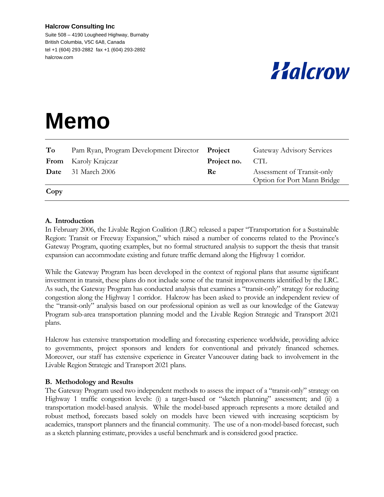#### **Halcrow Consulting Inc**

Suite 508 – 4190 Lougheed Highway, Burnaby British Columbia, V5C 6A8, Canada tel +1 (604) 293-2882 fax +1 (604) 293-2892 halcrow.com

# Halcrow

# **Memo**

| To   | Pam Ryan, Program Development Director Project |             | <b>Gateway Advisory Services</b>                          |
|------|------------------------------------------------|-------------|-----------------------------------------------------------|
|      | <b>From</b> Karoly Krajczar                    | Project no. | CTL                                                       |
| Date | 31 March 2006                                  | <b>Re</b>   | Assessment of Transit-only<br>Option for Port Mann Bridge |

**Copy** 

#### **A. Introduction**

In February 2006, the Livable Region Coalition (LRC) released a paper "Transportation for a Sustainable Region: Transit or Freeway Expansion," which raised a number of concerns related to the Province's Gateway Program, quoting examples, but no formal structured analysis to support the thesis that transit expansion can accommodate existing and future traffic demand along the Highway 1 corridor.

While the Gateway Program has been developed in the context of regional plans that assume significant investment in transit, these plans do not include some of the transit improvements identified by the LRC. As such, the Gateway Program has conducted analysis that examines a "transit-only" strategy for reducing congestion along the Highway 1 corridor. Halcrow has been asked to provide an independent review of the "transit-only" analysis based on our professional opinion as well as our knowledge of the Gateway Program sub-area transportation planning model and the Livable Region Strategic and Transport 2021 plans.

Halcrow has extensive transportation modelling and forecasting experience worldwide, providing advice to governments, project sponsors and lenders for conventional and privately financed schemes. Moreover, our staff has extensive experience in Greater Vancouver dating back to involvement in the Livable Region Strategic and Transport 2021 plans.

### **B. Methodology and Results**

The Gateway Program used two independent methods to assess the impact of a "transit-only" strategy on Highway 1 traffic congestion levels: (i) a target-based or "sketch planning" assessment; and (ii) a transportation model-based analysis. While the model-based approach represents a more detailed and robust method, forecasts based solely on models have been viewed with increasing scepticism by academics, transport planners and the financial community. The use of a non-model-based forecast, such as a sketch planning estimate, provides a useful benchmark and is considered good practice.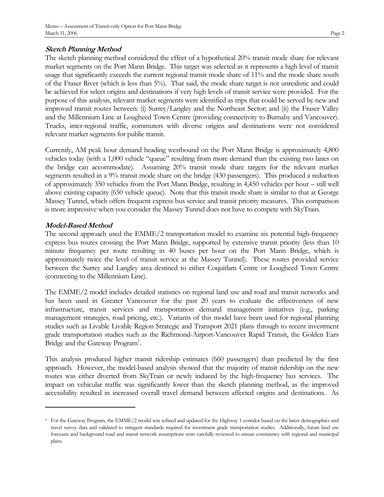### **Sketch Planning Method**

The sketch planning method considered the effect of a hypothetical 20% transit mode share for relevant market segments on the Port Mann Bridge. This target was selected as it represents a high level of transit usage that significantly exceeds the current regional transit mode share of 11% and the mode share south of the Fraser River (which is less than 5%). That said, the mode share target is not unrealistic and could be achieved for select origins and destinations if very high levels of transit service were provided. For the purpose of this analysis, relevant market segments were identified as trips that could be served by new and improved transit routes between: (i) Surrey/Langley and the Northeast Sector; and (ii) the Fraser Valley and the Millennium Line at Lougheed Town Centre (providing connectivity to Burnaby and Vancouver). Trucks, inter-regional traffic, commuters with diverse origins and destinations were not considered relevant market segments for public transit.

Currently, AM peak hour demand heading westbound on the Port Mann Bridge is approximately 4,800 vehicles today (with a 1,000 vehicle "queue" resulting from more demand than the existing two lanes on the bridge can accommodate). Assuming 20% transit mode share targets for the relevant market segments resulted in a 9% transit mode share on the bridge (430 passengers). This produced a reduction of approximately 350 vehicles from the Port Mann Bridge, resulting in 4,450 vehicles per hour – still well above existing capacity (650 vehicle queue). Note that this transit mode share is similar to that at George Massey Tunnel, which offers frequent express bus service and transit priority measures. This comparison is more impressive when you consider the Massey Tunnel does not have to compete with SkyTrain.

## **Model-Based Method**

The second approach used the EMME/2 transportation model to examine six potential high-frequency express bus routes crossing the Port Mann Bridge, supported by extensive transit priority (less than 10 minute frequency per route resulting in 40 buses per hour on the Port Mann Bridge, which is approximately twice the level of transit service at the Massey Tunnel). These routes provided service between the Surrey and Langley area destined to either Coquitlam Centre or Lougheed Town Centre (connecting to the Millennium Line).

The EMME/2 model includes detailed statistics on regional land use and road and transit networks and has been used in Greater Vancouver for the past 20 years to evaluate the effectiveness of new infrastructure, transit services and transportation demand management initiatives (e.g., parking management strategies, road pricing, etc.). Variants of this model have been used for regional planning studies such as Livable Livable Region Strategic and Transport 2021 plans through to recent investment grade transportation studies such as the Richmond-Airport-Vancouver Rapid Transit, the Golden Ears Bridge and the Gateway Program<sup>1</sup>.

This analysis produced higher transit ridership estimates (660 passengers) than predicted by the first approach. However, the model-based analysis showed that the majority of transit ridership on the new routes was either diverted from SkyTrain or newly induced by the high-frequency bus services. The impact on vehicular traffic was significantly lower than the sketch planning method, as the improved accessibility resulted in increased overall travel demand between affected origins and destinations. As

<sup>1</sup> For the Gateway Program, the EMME/2 model was refined and updated for the Highway 1 corridor based on the latest demographics and travel survey data and validated to stringent standards required for investment grade transportation studies. Additionally, future land use forecasts and background road and transit network assumptions were carefully reviewed to ensure consistency with regional and municipal plans.